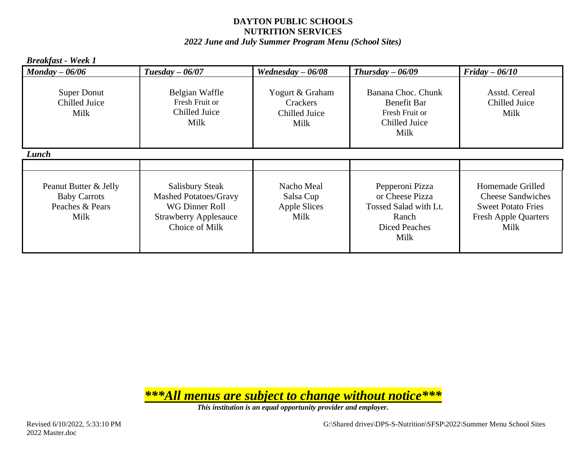*2022 June and July Summer Program Menu (School Sites)*

| <b>Breakfast</b> - Week 1                                               |                                                                                                                            |                                                        |                                                                                                      |                                                                                                                  |
|-------------------------------------------------------------------------|----------------------------------------------------------------------------------------------------------------------------|--------------------------------------------------------|------------------------------------------------------------------------------------------------------|------------------------------------------------------------------------------------------------------------------|
| $Monday - 06/06$                                                        | Tuesday $-06/07$                                                                                                           | Wednesday $-06/08$                                     | Thursday $-06/09$                                                                                    | $Friday - 06/10$                                                                                                 |
| <b>Super Donut</b><br>Chilled Juice<br>Milk                             | Belgian Waffle<br>Fresh Fruit or<br>Chilled Juice<br>Milk                                                                  | Yogurt & Graham<br>Crackers<br>Chilled Juice<br>Milk   | Banana Choc. Chunk<br><b>Benefit Bar</b><br>Fresh Fruit or<br>Chilled Juice<br>Milk                  | Asstd. Cereal<br>Chilled Juice<br>Milk                                                                           |
| Lunch                                                                   |                                                                                                                            |                                                        |                                                                                                      |                                                                                                                  |
|                                                                         |                                                                                                                            |                                                        |                                                                                                      |                                                                                                                  |
| Peanut Butter & Jelly<br><b>Baby Carrots</b><br>Peaches & Pears<br>Milk | <b>Salisbury Steak</b><br><b>Mashed Potatoes/Gravy</b><br>WG Dinner Roll<br><b>Strawberry Applesauce</b><br>Choice of Milk | Nacho Meal<br>Salsa Cup<br><b>Apple Slices</b><br>Milk | Pepperoni Pizza<br>or Cheese Pizza<br>Tossed Salad with Lt.<br>Ranch<br><b>Diced Peaches</b><br>Milk | Homemade Grilled<br><b>Cheese Sandwiches</b><br><b>Sweet Potato Fries</b><br><b>Fresh Apple Quarters</b><br>Milk |

*\*\*\*All menus are subject to change without notice\*\*\**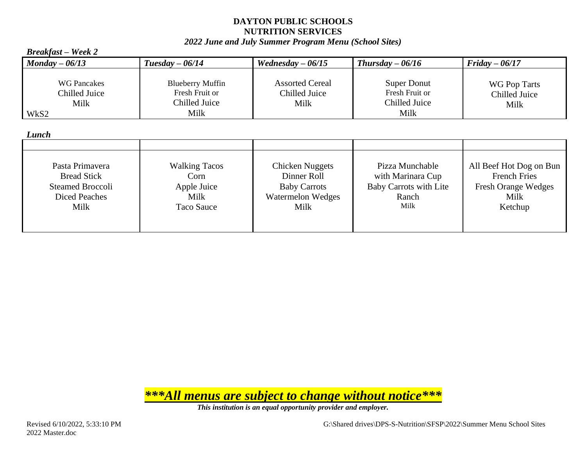#### *2022 June and July Summer Program Menu (School Sites)*

| $D$ reakjasi – week 2                               |                                                                    |                                                 |                                                               |                                       |
|-----------------------------------------------------|--------------------------------------------------------------------|-------------------------------------------------|---------------------------------------------------------------|---------------------------------------|
| $Monday - 06/13$                                    | $Tuesday - 06/14$                                                  | Wednesday $-06/15$                              | $Thus day - 06/16$                                            | $Fridav - 06/17$                      |
| <b>WG Pancakes</b><br>Chilled Juice<br>Milk<br>WkS2 | <b>Blueberry Muffin</b><br>Fresh Fruit or<br>Chilled Juice<br>Milk | <b>Assorted Cereal</b><br>Chilled Juice<br>Milk | <b>Super Donut</b><br>Fresh Fruit or<br>Chilled Juice<br>Milk | WG Pop Tarts<br>Chilled Juice<br>Milk |

*Lunch*

*Breakfast – Week 2*

| Luncn                                                                                            |                                                                   |                                                                                                  |                                                                                        |                                                                                                 |
|--------------------------------------------------------------------------------------------------|-------------------------------------------------------------------|--------------------------------------------------------------------------------------------------|----------------------------------------------------------------------------------------|-------------------------------------------------------------------------------------------------|
|                                                                                                  |                                                                   |                                                                                                  |                                                                                        |                                                                                                 |
| Pasta Primavera<br><b>Bread Stick</b><br><b>Steamed Broccoli</b><br><b>Diced Peaches</b><br>Milk | <b>Walking Tacos</b><br>Corn<br>Apple Juice<br>Milk<br>Taco Sauce | <b>Chicken Nuggets</b><br>Dinner Roll<br><b>Baby Carrots</b><br><b>Watermelon Wedges</b><br>Milk | Pizza Munchable<br>with Marinara Cup<br><b>Baby Carrots with Lite</b><br>Ranch<br>Milk | All Beef Hot Dog on Bun<br><b>French Fries</b><br><b>Fresh Orange Wedges</b><br>Milk<br>Ketchup |

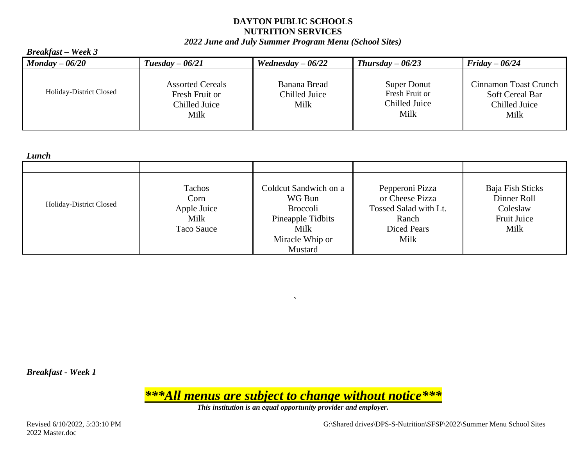#### *2022 June and July Summer Program Menu (School Sites)*

#### *Breakfast – Week 3*

| $\boldsymbol{M}$ onday $-\boldsymbol{06/20}$ | $Tuesday - 06/21$                                                  | Wednesday $-06/22$                    | $Thursday - 06/23$                                     | Friday $-06/24$                                                          |
|----------------------------------------------|--------------------------------------------------------------------|---------------------------------------|--------------------------------------------------------|--------------------------------------------------------------------------|
| Holiday-District Closed                      | <b>Assorted Cereals</b><br>Fresh Fruit or<br>Chilled Juice<br>Milk | Banana Bread<br>Chilled Juice<br>Milk | Super Donut<br>Fresh Fruit or<br>Chilled Juice<br>Milk | <b>Cinnamon Toast Crunch</b><br>Soft Cereal Bar<br>Chilled Juice<br>Milk |

*Lunch*

| <i>Livit</i> vit        |                                                     |                                                                                                    |                                                                                                    |                                                                    |
|-------------------------|-----------------------------------------------------|----------------------------------------------------------------------------------------------------|----------------------------------------------------------------------------------------------------|--------------------------------------------------------------------|
|                         |                                                     |                                                                                                    |                                                                                                    |                                                                    |
| Holiday-District Closed | Tachos<br>Corn<br>Apple Juice<br>Milk<br>Taco Sauce | Coldcut Sandwich on a<br>WG Bun<br><b>Broccoli</b><br>Pineapple Tidbits<br>Milk<br>Miracle Whip or | Pepperoni Pizza<br>or Cheese Pizza<br>Tossed Salad with Lt.<br>Ranch<br><b>Diced Pears</b><br>Milk | Baja Fish Sticks<br>Dinner Roll<br>Coleslaw<br>Fruit Juice<br>Milk |
|                         |                                                     | Mustard                                                                                            |                                                                                                    |                                                                    |

*`*

*Breakfast - Week 1*

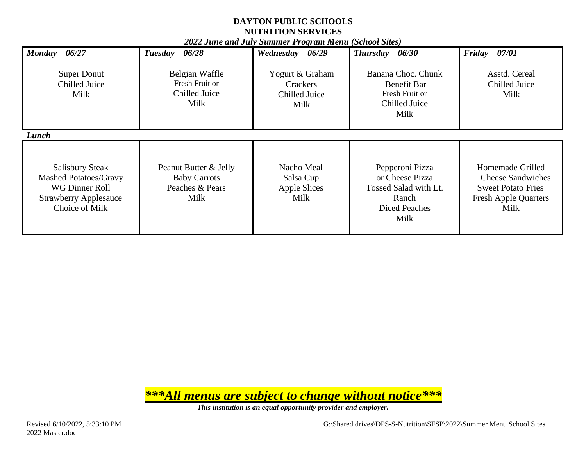|                                                                                                                            |                                                                         | zozz June and July Summer Trogram Menu (School Sues) |                                                                                                      |                                                                                                                  |
|----------------------------------------------------------------------------------------------------------------------------|-------------------------------------------------------------------------|------------------------------------------------------|------------------------------------------------------------------------------------------------------|------------------------------------------------------------------------------------------------------------------|
| $\textit{Monday} - 06/27$                                                                                                  | Tuesday $-06/28$                                                        | Wednesday $-06/29$                                   | Thursday $-06/30$                                                                                    | $Friday - 07/01$                                                                                                 |
| <b>Super Donut</b><br>Chilled Juice<br>Milk                                                                                | Belgian Waffle<br>Fresh Fruit or<br>Chilled Juice<br>Milk               | Yogurt & Graham<br>Crackers<br>Chilled Juice<br>Milk | Banana Choc. Chunk<br>Benefit Bar<br>Fresh Fruit or<br>Chilled Juice<br>Milk                         | Asstd. Cereal<br>Chilled Juice<br>Milk                                                                           |
| Lunch                                                                                                                      |                                                                         |                                                      |                                                                                                      |                                                                                                                  |
|                                                                                                                            |                                                                         |                                                      |                                                                                                      |                                                                                                                  |
| <b>Salisbury Steak</b><br><b>Mashed Potatoes/Gravy</b><br>WG Dinner Roll<br><b>Strawberry Applesauce</b><br>Choice of Milk | Peanut Butter & Jelly<br><b>Baby Carrots</b><br>Peaches & Pears<br>Milk | Nacho Meal<br>Salsa Cup<br>Apple Slices<br>Milk      | Pepperoni Pizza<br>or Cheese Pizza<br>Tossed Salad with Lt.<br>Ranch<br><b>Diced Peaches</b><br>Milk | Homemade Grilled<br><b>Cheese Sandwiches</b><br><b>Sweet Potato Fries</b><br><b>Fresh Apple Quarters</b><br>Milk |

*2022 June and July Summer Program Menu (School Sites)*

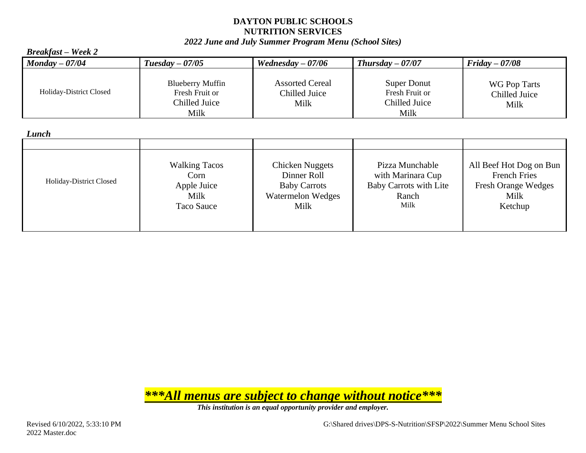#### *2022 June and July Summer Program Menu (School Sites)*

#### *Breakfast – Week 2 Monday – 07/04 Tuesday – 07/05 Wednesday – 07/06 Thursday – 07/07 Friday – 07/08* Holiday-District Closed Blueberry Muffin Fresh Fruit or Chilled Juice Milk Assorted Cereal Chilled Juice Milk Super Donut Fresh Fruit or Chilled Juice Milk WG Pop Tarts Chilled Juice Milk

#### *Lunch*

| Lunch                   |                                                                   |                                                                                           |                                                                                 |                                                                                                 |
|-------------------------|-------------------------------------------------------------------|-------------------------------------------------------------------------------------------|---------------------------------------------------------------------------------|-------------------------------------------------------------------------------------------------|
|                         |                                                                   |                                                                                           |                                                                                 |                                                                                                 |
| Holiday-District Closed | <b>Walking Tacos</b><br>Corn<br>Apple Juice<br>Milk<br>Taco Sauce | <b>Chicken Nuggets</b><br>Dinner Roll<br><b>Baby Carrots</b><br>Watermelon Wedges<br>Milk | Pizza Munchable<br>with Marinara Cup<br>Baby Carrots with Lite<br>Ranch<br>Milk | All Beef Hot Dog on Bun<br><b>French Fries</b><br><b>Fresh Orange Wedges</b><br>Milk<br>Ketchup |

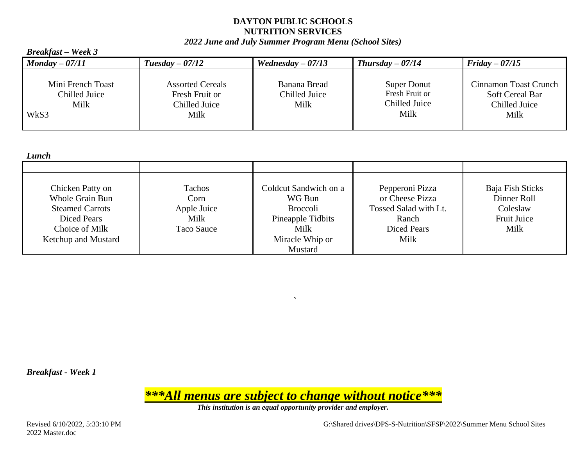#### *2022 June and July Summer Program Menu (School Sites)*

| <b>Breakfast</b> – Week 3                          |                                                                    |                                       |                                                        |                                                                          |
|----------------------------------------------------|--------------------------------------------------------------------|---------------------------------------|--------------------------------------------------------|--------------------------------------------------------------------------|
| $\boldsymbol{Moday - 07/11}$                       | $Tuesday - 07/12$                                                  | Wednesday $-07/13$                    | Thursday $-07/14$                                      | $Friday - 07/15$                                                         |
| Mini French Toast<br>Chilled Juice<br>Milk<br>WkS3 | <b>Assorted Cereals</b><br>Fresh Fruit or<br>Chilled Juice<br>Milk | Banana Bread<br>Chilled Juice<br>Milk | Super Donut<br>Fresh Fruit or<br>Chilled Juice<br>Milk | Cinnamon Toast Crunch<br><b>Soft Cereal Bar</b><br>Chilled Juice<br>Milk |

*Lunch*

| --------               |             |                       |                       |                    |
|------------------------|-------------|-----------------------|-----------------------|--------------------|
|                        |             |                       |                       |                    |
|                        |             |                       |                       |                    |
| Chicken Patty on       | Tachos      | Coldcut Sandwich on a | Pepperoni Pizza       | Baja Fish Sticks   |
| Whole Grain Bun        | Corn        | WG Bun                | or Cheese Pizza       | Dinner Roll        |
| <b>Steamed Carrots</b> | Apple Juice | <b>Broccoli</b>       | Tossed Salad with Lt. | Coleslaw           |
| <b>Diced Pears</b>     | Milk        | Pineapple Tidbits     | Ranch                 | <b>Fruit Juice</b> |
| Choice of Milk         | Taco Sauce  | Milk                  | <b>Diced Pears</b>    | Milk               |
| Ketchup and Mustard    |             | Miracle Whip or       | Milk                  |                    |
|                        |             | Mustard               |                       |                    |

*`*

*Breakfast - Week 1*

*\*\*\*All menus are subject to change without notice\*\*\**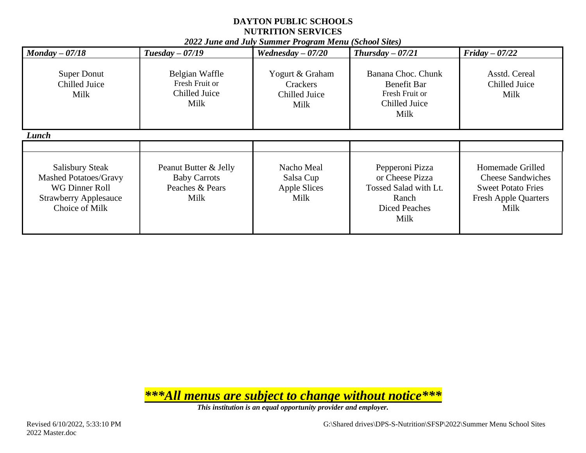|                                                                                                                                     |                                                                         | <u>2022 June and July Summer I rogram menu (School Sues)</u> |                                                                                                      |                                                                                                                  |
|-------------------------------------------------------------------------------------------------------------------------------------|-------------------------------------------------------------------------|--------------------------------------------------------------|------------------------------------------------------------------------------------------------------|------------------------------------------------------------------------------------------------------------------|
| $\textit{Monday} - 07/18$                                                                                                           | $Tuesday - 07/19$                                                       | Wednesday $-07/20$                                           | Thursday $-07/21$                                                                                    | $Friday - 07/22$                                                                                                 |
| <b>Super Donut</b><br>Chilled Juice<br>Milk                                                                                         | Belgian Waffle<br>Fresh Fruit or<br>Chilled Juice<br>Milk               | Yogurt & Graham<br>Crackers<br>Chilled Juice<br>Milk         | Banana Choc. Chunk<br><b>Benefit Bar</b><br>Fresh Fruit or<br>Chilled Juice<br>Milk                  | Asstd. Cereal<br>Chilled Juice<br>Milk                                                                           |
| Lunch<br><b>Salisbury Steak</b><br><b>Mashed Potatoes/Gravy</b><br>WG Dinner Roll<br><b>Strawberry Applesauce</b><br>Choice of Milk | Peanut Butter & Jelly<br><b>Baby Carrots</b><br>Peaches & Pears<br>Milk | Nacho Meal<br>Salsa Cup<br>Apple Slices<br>Milk              | Pepperoni Pizza<br>or Cheese Pizza<br>Tossed Salad with Lt.<br>Ranch<br><b>Diced Peaches</b><br>Milk | Homemade Grilled<br><b>Cheese Sandwiches</b><br><b>Sweet Potato Fries</b><br><b>Fresh Apple Quarters</b><br>Milk |

*2022 June and July Summer Program Menu (School Sites)*